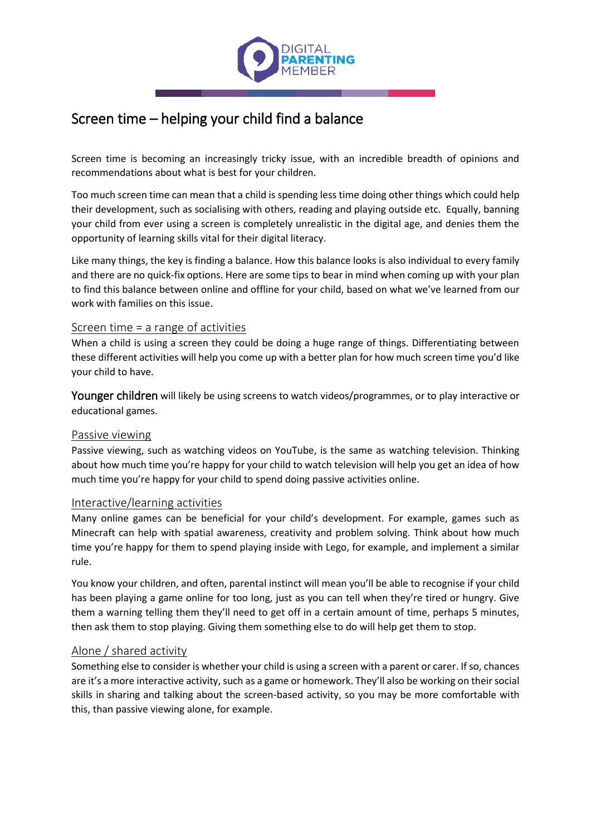

# Screen time – helping your child find a balance

Screen time is becoming an increasingly tricky issue, with an incredible breadth of opinions and recommendations about what is best for your children.

Too much screen time can mean that a child is spending less time doing other things which could help their development, such as socialising with others, reading and playing outside etc. Equally, banning your child from ever using a screen is completely unrealistic in the digital age, and denies them the opportunity of learning skills vital for their digital literacy.

Like many things, the key is finding a balance. How this balance looks is also individual to every family and there are no quick-fix options. Here are some tips to bear in mind when coming up with your plan to find this balance between online and offline for your child, based on what we've learned from our work with families on this issue.

## Screen time = a range of activities

When a child is using a screen they could be doing a huge range of things. Differentiating between these different activities will help you come up with a better plan for how much screen time you'd like your child to have.

Younger children will likely be using screens to watch videos/programmes, or to play interactive or educational games.

#### Passive viewing

Passive viewing, such as watching videos on YouTube, is the same as watching television. Thinking about how much time you're happy for your child to watch television will help you get an idea of how much time you're happy for your child to spend doing passive activities online.

#### Interactive/learning activities

Many online games can be beneficial for your child's development. For example, games such as Minecraft can help with spatial awareness, creativity and problem solving. Think about how much time you're happy for them to spend playing inside with Lego, for example, and implement a similar rule.

You know your children, and often, parental instinct will mean you'll be able to recognise if your child has been playing a game online for too long, just as you can tell when they're tired or hungry. Give them a warning telling them they'll need to get off in a certain amount of time, perhaps 5 minutes, then ask them to stop playing. Giving them something else to do will help get them to stop.

# Alone / shared activity

Something else to consider is whether your child is using a screen with a parent or carer. If so, chances are it's a more interactive activity, such as a game or homework. They'll also be working on their social skills in sharing and talking about the screen-based activity, so you may be more comfortable with this, than passive viewing alone, for example.